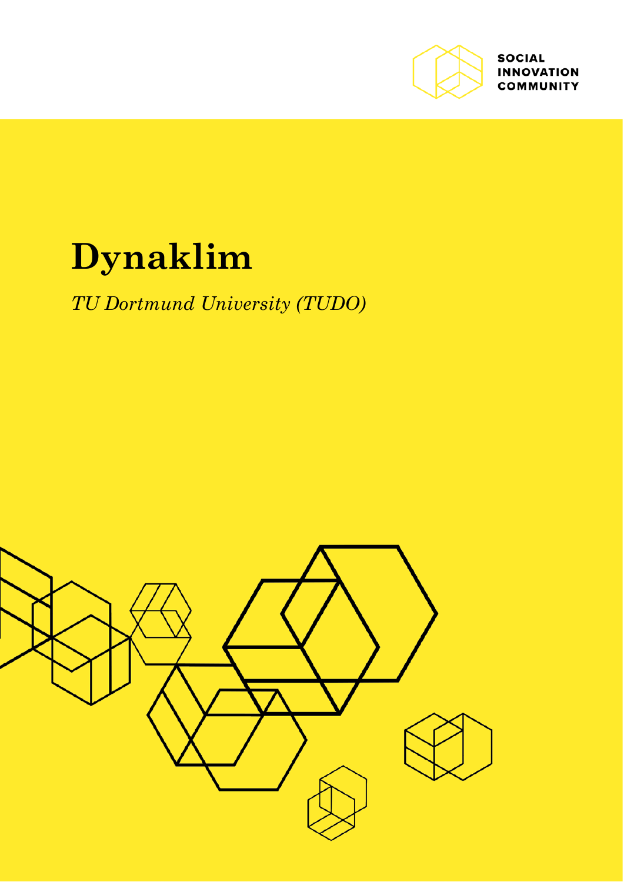

**SOCIAL INNOVATION COMMUNITY** 

# **Dynaklim**

### *TU Dortmund University (TUDO)*

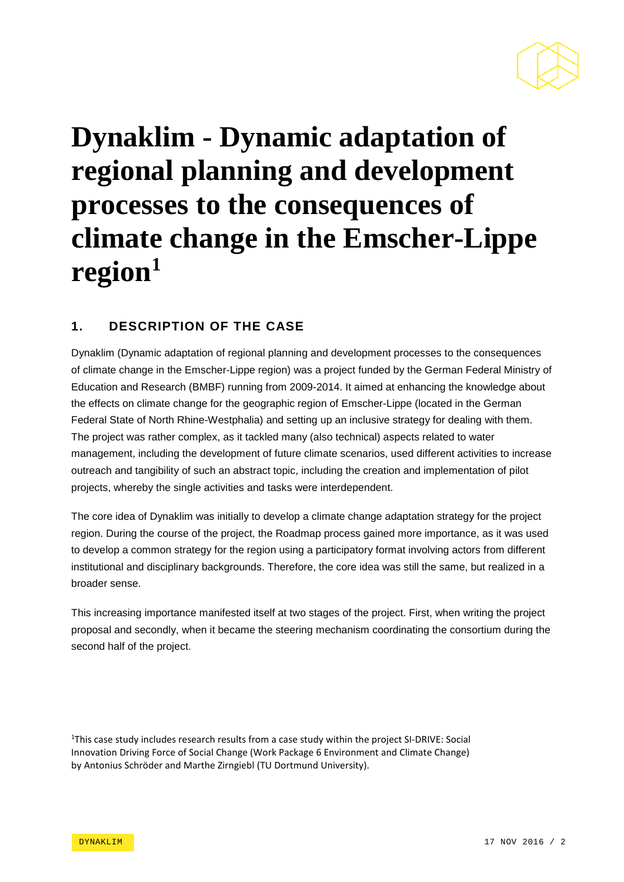

## **Dynaklim - Dynamic adaptation of regional planning and development processes to the consequences of climate change in the Emscher-Lippe region[1](#page-1-0)**

#### **1. DESCRIPTION OF THE CASE**

Dynaklim (Dynamic adaptation of regional planning and development processes to the consequences of climate change in the Emscher-Lippe region) was a project funded by the German Federal Ministry of Education and Research (BMBF) running from 2009-2014. It aimed at enhancing the knowledge about the effects on climate change for the geographic region of Emscher-Lippe (located in the German Federal State of North Rhine-Westphalia) and setting up an inclusive strategy for dealing with them. The project was rather complex, as it tackled many (also technical) aspects related to water management, including the development of future climate scenarios, used different activities to increase outreach and tangibility of such an abstract topic, including the creation and implementation of pilot projects, whereby the single activities and tasks were interdependent.

The core idea of Dynaklim was initially to develop a climate change adaptation strategy for the project region. During the course of the project, the Roadmap process gained more importance, as it was used to develop a common strategy for the region using a participatory format involving actors from different institutional and disciplinary backgrounds. Therefore, the core idea was still the same, but realized in a broader sense.

This increasing importance manifested itself at two stages of the project. First, when writing the project proposal and secondly, when it became the steering mechanism coordinating the consortium during the second half of the project.

<span id="page-1-0"></span><sup>1</sup>This case study includes research results from a case study within the project SI-DRIVE: Social Innovation Driving Force of Social Change (Work Package 6 Environment and Climate Change) by Antonius Schröder and Marthe Zirngiebl (TU Dortmund University).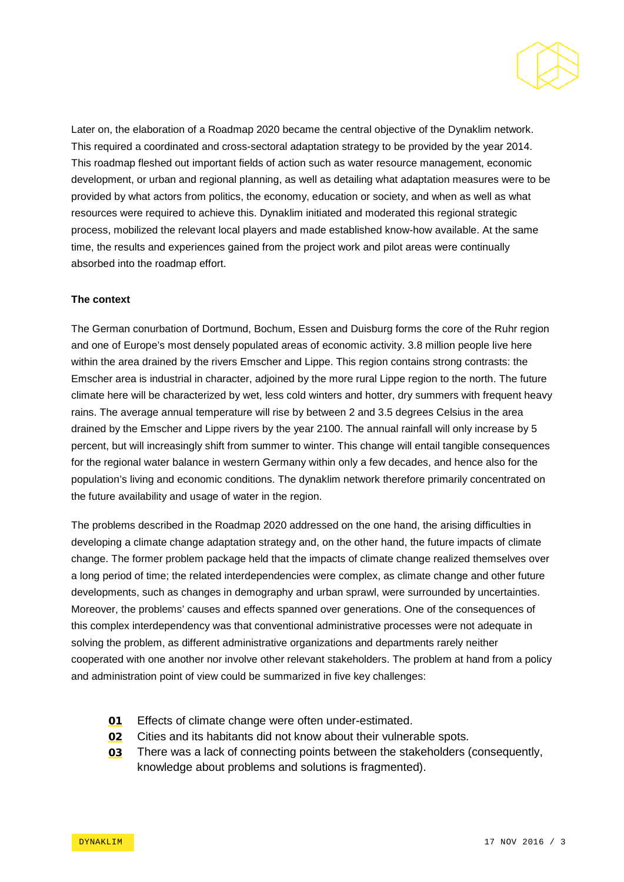

Later on, the elaboration of a Roadmap 2020 became the central objective of the Dynaklim network. This required a coordinated and cross-sectoral adaptation strategy to be provided by the year 2014. This roadmap fleshed out important fields of action such as water resource management, economic development, or urban and regional planning, as well as detailing what adaptation measures were to be provided by what actors from politics, the economy, education or society, and when as well as what resources were required to achieve this. Dynaklim initiated and moderated this regional strategic process, mobilized the relevant local players and made established know-how available. At the same time, the results and experiences gained from the project work and pilot areas were continually absorbed into the roadmap effort.

#### **The context**

The German conurbation of Dortmund, Bochum, Essen and Duisburg forms the core of the Ruhr region and one of Europe's most densely populated areas of economic activity. 3.8 million people live here within the area drained by the rivers Emscher and Lippe. This region contains strong contrasts: the Emscher area is industrial in character, adjoined by the more rural Lippe region to the north. The future climate here will be characterized by wet, less cold winters and hotter, dry summers with frequent heavy rains. The average annual temperature will rise by between 2 and 3.5 degrees Celsius in the area drained by the Emscher and Lippe rivers by the year 2100. The annual rainfall will only increase by 5 percent, but will increasingly shift from summer to winter. This change will entail tangible consequences for the regional water balance in western Germany within only a few decades, and hence also for the population's living and economic conditions. The dynaklim network therefore primarily concentrated on the future availability and usage of water in the region.

The problems described in the Roadmap 2020 addressed on the one hand, the arising difficulties in developing a climate change adaptation strategy and, on the other hand, the future impacts of climate change. The former problem package held that the impacts of climate change realized themselves over a long period of time; the related interdependencies were complex, as climate change and other future developments, such as changes in demography and urban sprawl, were surrounded by uncertainties. Moreover, the problems' causes and effects spanned over generations. One of the consequences of this complex interdependency was that conventional administrative processes were not adequate in solving the problem, as different administrative organizations and departments rarely neither cooperated with one another nor involve other relevant stakeholders. The problem at hand from a policy and administration point of view could be summarized in five key challenges:

- 01 Effects of climate change were often under-estimated.
- **02** Cities and its habitants did not know about their vulnerable spots.
- 03 There was a lack of connecting points between the stakeholders (consequently, knowledge about problems and solutions is fragmented).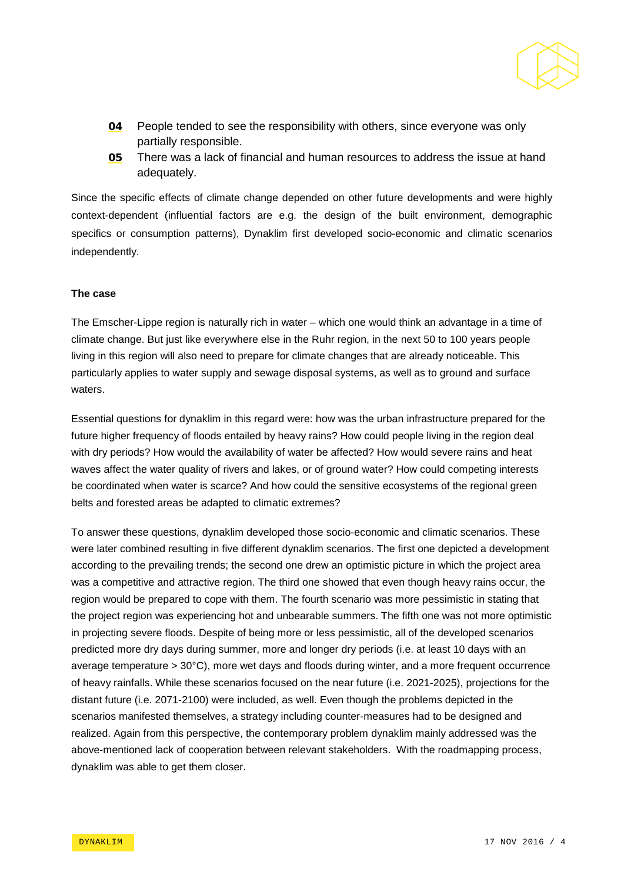

- **04** People tended to see the responsibility with others, since everyone was only partially responsible.
- 05 There was a lack of financial and human resources to address the issue at hand adequately.

Since the specific effects of climate change depended on other future developments and were highly context-dependent (influential factors are e.g. the design of the built environment, demographic specifics or consumption patterns), Dynaklim first developed socio-economic and climatic scenarios independently.

#### **The case**

The Emscher-Lippe region is naturally rich in water – which one would think an advantage in a time of climate change. But just like everywhere else in the Ruhr region, in the next 50 to 100 years people living in this region will also need to prepare for climate changes that are already noticeable. This particularly applies to water supply and sewage disposal systems, as well as to ground and surface waters.

Essential questions for dynaklim in this regard were: how was the urban infrastructure prepared for the future higher frequency of floods entailed by heavy rains? How could people living in the region deal with dry periods? How would the availability of water be affected? How would severe rains and heat waves affect the water quality of rivers and lakes, or of ground water? How could competing interests be coordinated when water is scarce? And how could the sensitive ecosystems of the regional green belts and forested areas be adapted to climatic extremes?

To answer these questions, dynaklim developed those socio-economic and climatic scenarios. These were later combined resulting in five different dynaklim scenarios. The first one depicted a development according to the prevailing trends; the second one drew an optimistic picture in which the project area was a competitive and attractive region. The third one showed that even though heavy rains occur, the region would be prepared to cope with them. The fourth scenario was more pessimistic in stating that the project region was experiencing hot and unbearable summers. The fifth one was not more optimistic in projecting severe floods. Despite of being more or less pessimistic, all of the developed scenarios predicted more dry days during summer, more and longer dry periods (i.e. at least 10 days with an average temperature > 30°C), more wet days and floods during winter, and a more frequent occurrence of heavy rainfalls. While these scenarios focused on the near future (i.e. 2021-2025), projections for the distant future (i.e. 2071-2100) were included, as well. Even though the problems depicted in the scenarios manifested themselves, a strategy including counter-measures had to be designed and realized. Again from this perspective, the contemporary problem dynaklim mainly addressed was the above-mentioned lack of cooperation between relevant stakeholders. With the roadmapping process, dynaklim was able to get them closer.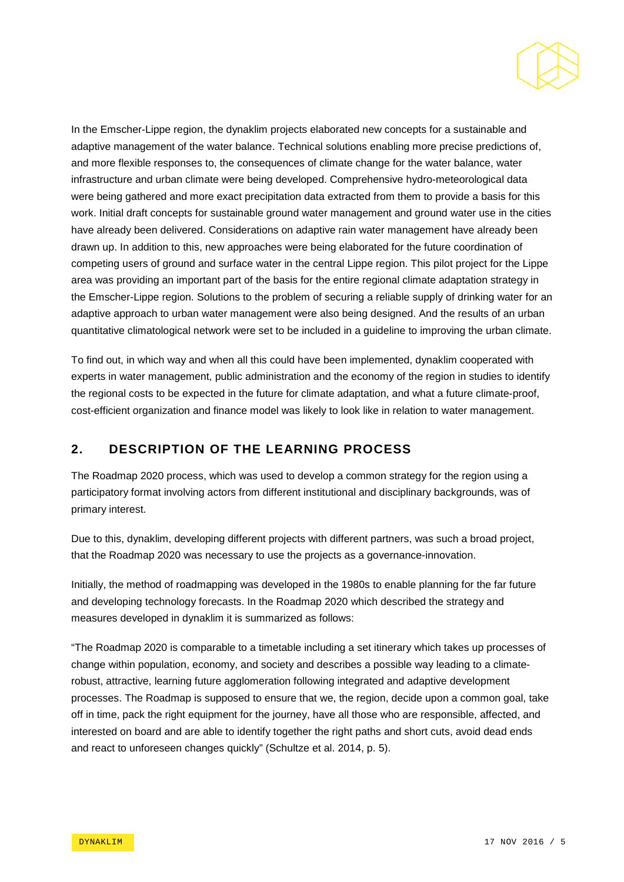

In the Emscher-Lippe region, the dynaklim projects elaborated new concepts for a sustainable and adaptive management of the water balance. Technical solutions enabling more precise predictions of, and more flexible responses to, the consequences of climate change for the water balance, water infrastructure and urban climate were being developed. Comprehensive hydro-meteorological data were being gathered and more exact precipitation data extracted from them to provide a basis for this work. Initial draft concepts for sustainable ground water management and ground water use in the cities have already been delivered. Considerations on adaptive rain water management have already been drawn up. In addition to this, new approaches were being elaborated for the future coordination of competing users of ground and surface water in the central Lippe region. This pilot project for the Lippe area was providing an important part of the basis for the entire regional climate adaptation strategy in the Emscher-Lippe region. Solutions to the problem of securing a reliable supply of drinking water for an adaptive approach to urban water management were also being designed. And the results of an urban quantitative climatological network were set to be included in a guideline to improving the urban climate.

To find out, in which way and when all this could have been implemented, dynaklim cooperated with experts in water management, public administration and the economy of the region in studies to identify the regional costs to be expected in the future for climate adaptation, and what a future climate-proof, cost-efficient organization and finance model was likely to look like in relation to water management.

#### **2. DESCRIPTION OF THE LEARNING PROCESS**

The Roadmap 2020 process, which was used to develop a common strategy for the region using a participatory format involving actors from different institutional and disciplinary backgrounds, was of primary interest.

Due to this, dynaklim, developing different projects with different partners, was such a broad project, that the Roadmap 2020 was necessary to use the projects as a governance-innovation.

Initially, the method of roadmapping was developed in the 1980s to enable planning for the far future and developing technology forecasts. In the Roadmap 2020 which described the strategy and measures developed in dynaklim it is summarized as follows:

"The Roadmap 2020 is comparable to a timetable including a set itinerary which takes up processes of change within population, economy, and society and describes a possible way leading to a climaterobust, attractive, learning future agglomeration following integrated and adaptive development processes. The Roadmap is supposed to ensure that we, the region, decide upon a common goal, take off in time, pack the right equipment for the journey, have all those who are responsible, affected, and interested on board and are able to identify together the right paths and short cuts, avoid dead ends and react to unforeseen changes quickly" (Schultze et al. 2014, p. 5).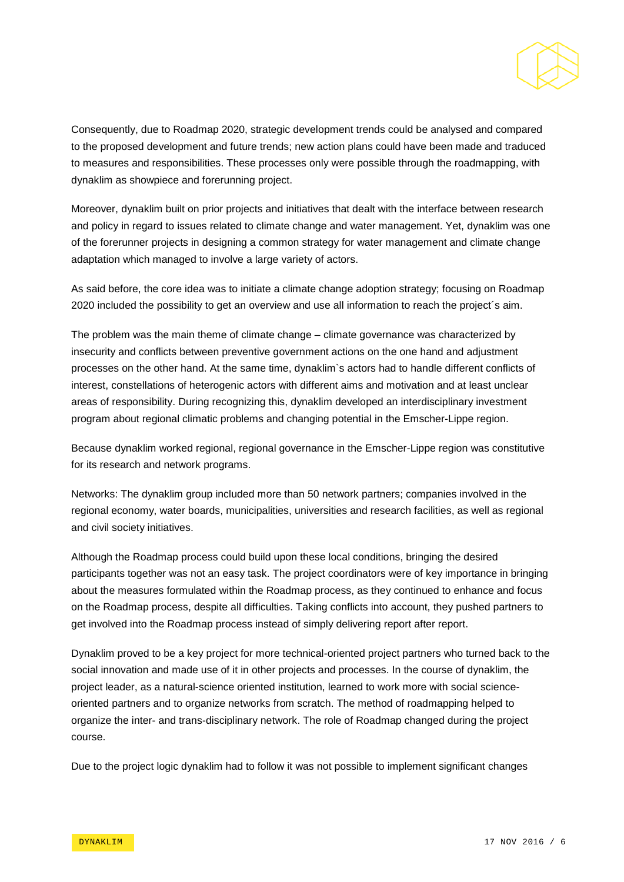

Consequently, due to Roadmap 2020, strategic development trends could be analysed and compared to the proposed development and future trends; new action plans could have been made and traduced to measures and responsibilities. These processes only were possible through the roadmapping, with dynaklim as showpiece and forerunning project.

Moreover, dynaklim built on prior projects and initiatives that dealt with the interface between research and policy in regard to issues related to climate change and water management. Yet, dynaklim was one of the forerunner projects in designing a common strategy for water management and climate change adaptation which managed to involve a large variety of actors.

As said before, the core idea was to initiate a climate change adoption strategy; focusing on Roadmap 2020 included the possibility to get an overview and use all information to reach the project´s aim.

The problem was the main theme of climate change – climate governance was characterized by insecurity and conflicts between preventive government actions on the one hand and adjustment processes on the other hand. At the same time, dynaklim`s actors had to handle different conflicts of interest, constellations of heterogenic actors with different aims and motivation and at least unclear areas of responsibility. During recognizing this, dynaklim developed an interdisciplinary investment program about regional climatic problems and changing potential in the Emscher-Lippe region.

Because dynaklim worked regional, regional governance in the Emscher-Lippe region was constitutive for its research and network programs.

Networks: The dynaklim group included more than 50 network partners; companies involved in the regional economy, water boards, municipalities, universities and research facilities, as well as regional and civil society initiatives.

Although the Roadmap process could build upon these local conditions, bringing the desired participants together was not an easy task. The project coordinators were of key importance in bringing about the measures formulated within the Roadmap process, as they continued to enhance and focus on the Roadmap process, despite all difficulties. Taking conflicts into account, they pushed partners to get involved into the Roadmap process instead of simply delivering report after report.

Dynaklim proved to be a key project for more technical-oriented project partners who turned back to the social innovation and made use of it in other projects and processes. In the course of dynaklim, the project leader, as a natural-science oriented institution, learned to work more with social scienceoriented partners and to organize networks from scratch. The method of roadmapping helped to organize the inter- and trans-disciplinary network. The role of Roadmap changed during the project course.

Due to the project logic dynaklim had to follow it was not possible to implement significant changes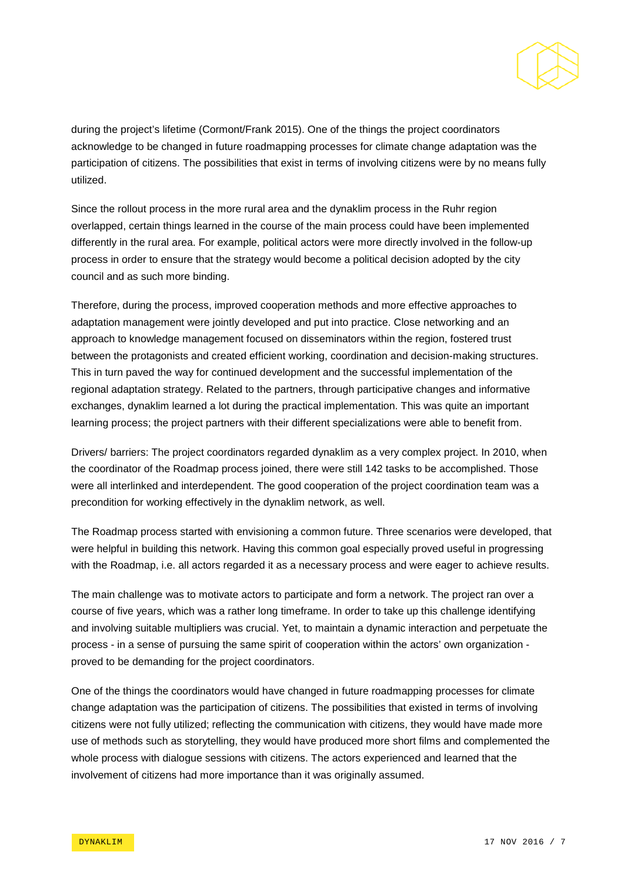

during the project's lifetime (Cormont/Frank 2015). One of the things the project coordinators acknowledge to be changed in future roadmapping processes for climate change adaptation was the participation of citizens. The possibilities that exist in terms of involving citizens were by no means fully utilized.

Since the rollout process in the more rural area and the dynaklim process in the Ruhr region overlapped, certain things learned in the course of the main process could have been implemented differently in the rural area. For example, political actors were more directly involved in the follow-up process in order to ensure that the strategy would become a political decision adopted by the city council and as such more binding.

Therefore, during the process, improved cooperation methods and more effective approaches to adaptation management were jointly developed and put into practice. Close networking and an approach to knowledge management focused on disseminators within the region, fostered trust between the protagonists and created efficient working, coordination and decision-making structures. This in turn paved the way for continued development and the successful implementation of the regional adaptation strategy. Related to the partners, through participative changes and informative exchanges, dynaklim learned a lot during the practical implementation. This was quite an important learning process; the project partners with their different specializations were able to benefit from.

Drivers/ barriers: The project coordinators regarded dynaklim as a very complex project. In 2010, when the coordinator of the Roadmap process joined, there were still 142 tasks to be accomplished. Those were all interlinked and interdependent. The good cooperation of the project coordination team was a precondition for working effectively in the dynaklim network, as well.

The Roadmap process started with envisioning a common future. Three scenarios were developed, that were helpful in building this network. Having this common goal especially proved useful in progressing with the Roadmap, i.e. all actors regarded it as a necessary process and were eager to achieve results.

The main challenge was to motivate actors to participate and form a network. The project ran over a course of five years, which was a rather long timeframe. In order to take up this challenge identifying and involving suitable multipliers was crucial. Yet, to maintain a dynamic interaction and perpetuate the process - in a sense of pursuing the same spirit of cooperation within the actors' own organization proved to be demanding for the project coordinators.

One of the things the coordinators would have changed in future roadmapping processes for climate change adaptation was the participation of citizens. The possibilities that existed in terms of involving citizens were not fully utilized; reflecting the communication with citizens, they would have made more use of methods such as storytelling, they would have produced more short films and complemented the whole process with dialogue sessions with citizens. The actors experienced and learned that the involvement of citizens had more importance than it was originally assumed.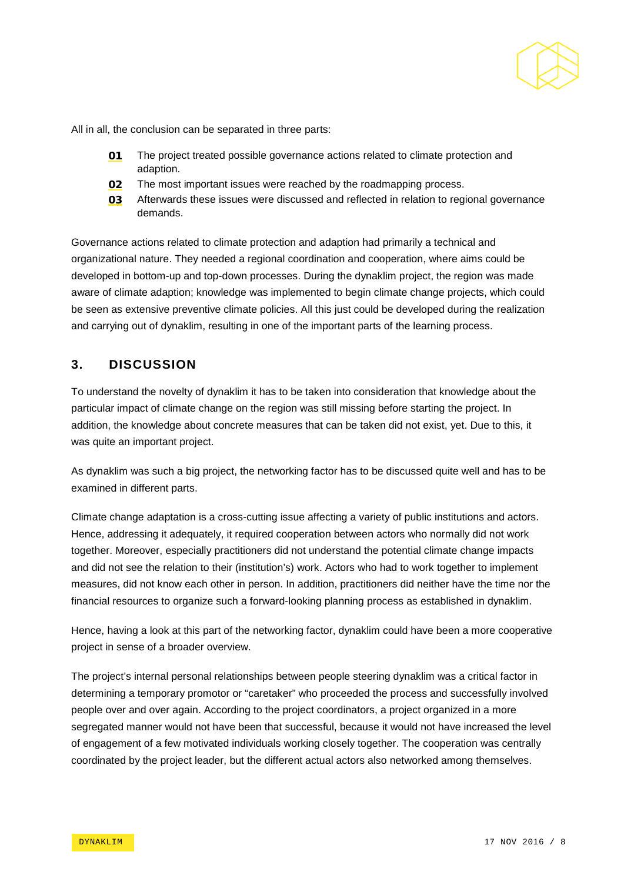

All in all, the conclusion can be separated in three parts:

- 01 The project treated possible governance actions related to climate protection and adaption.
- **02** The most important issues were reached by the roadmapping process.
- 03 Afterwards these issues were discussed and reflected in relation to regional governance demands.

Governance actions related to climate protection and adaption had primarily a technical and organizational nature. They needed a regional coordination and cooperation, where aims could be developed in bottom-up and top-down processes. During the dynaklim project, the region was made aware of climate adaption; knowledge was implemented to begin climate change projects, which could be seen as extensive preventive climate policies. All this just could be developed during the realization and carrying out of dynaklim, resulting in one of the important parts of the learning process.

#### **3. DISCUSSION**

To understand the novelty of dynaklim it has to be taken into consideration that knowledge about the particular impact of climate change on the region was still missing before starting the project. In addition, the knowledge about concrete measures that can be taken did not exist, yet. Due to this, it was quite an important project.

As dynaklim was such a big project, the networking factor has to be discussed quite well and has to be examined in different parts.

Climate change adaptation is a cross-cutting issue affecting a variety of public institutions and actors. Hence, addressing it adequately, it required cooperation between actors who normally did not work together. Moreover, especially practitioners did not understand the potential climate change impacts and did not see the relation to their (institution's) work. Actors who had to work together to implement measures, did not know each other in person. In addition, practitioners did neither have the time nor the financial resources to organize such a forward-looking planning process as established in dynaklim.

Hence, having a look at this part of the networking factor, dynaklim could have been a more cooperative project in sense of a broader overview.

The project's internal personal relationships between people steering dynaklim was a critical factor in determining a temporary promotor or "caretaker" who proceeded the process and successfully involved people over and over again. According to the project coordinators, a project organized in a more segregated manner would not have been that successful, because it would not have increased the level of engagement of a few motivated individuals working closely together. The cooperation was centrally coordinated by the project leader, but the different actual actors also networked among themselves.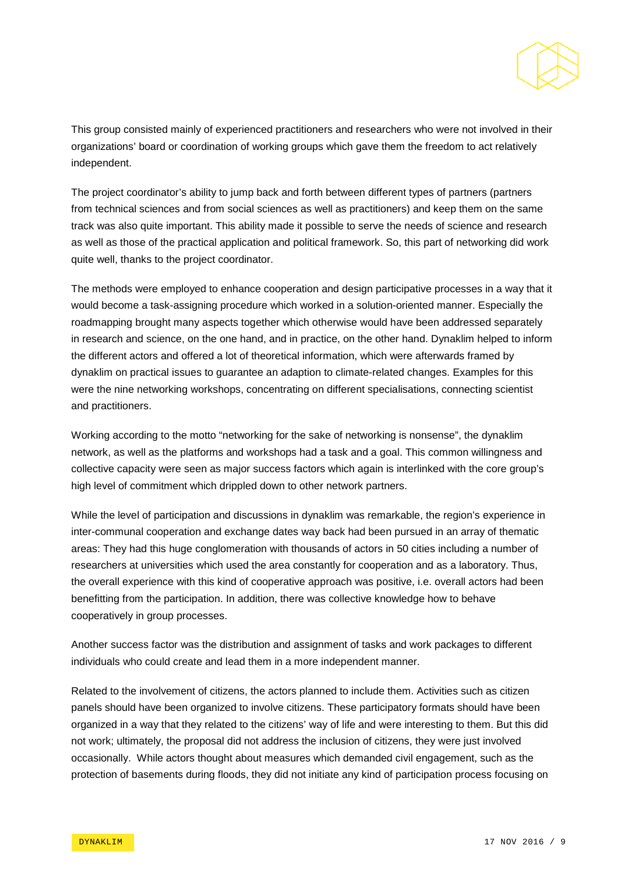

This group consisted mainly of experienced practitioners and researchers who were not involved in their organizations' board or coordination of working groups which gave them the freedom to act relatively independent.

The project coordinator's ability to jump back and forth between different types of partners (partners from technical sciences and from social sciences as well as practitioners) and keep them on the same track was also quite important. This ability made it possible to serve the needs of science and research as well as those of the practical application and political framework. So, this part of networking did work quite well, thanks to the project coordinator.

The methods were employed to enhance cooperation and design participative processes in a way that it would become a task-assigning procedure which worked in a solution-oriented manner. Especially the roadmapping brought many aspects together which otherwise would have been addressed separately in research and science, on the one hand, and in practice, on the other hand. Dynaklim helped to inform the different actors and offered a lot of theoretical information, which were afterwards framed by dynaklim on practical issues to guarantee an adaption to climate-related changes. Examples for this were the nine networking workshops, concentrating on different specialisations, connecting scientist and practitioners.

Working according to the motto "networking for the sake of networking is nonsense", the dynaklim network, as well as the platforms and workshops had a task and a goal. This common willingness and collective capacity were seen as major success factors which again is interlinked with the core group's high level of commitment which drippled down to other network partners.

While the level of participation and discussions in dynaklim was remarkable, the region's experience in inter-communal cooperation and exchange dates way back had been pursued in an array of thematic areas: They had this huge conglomeration with thousands of actors in 50 cities including a number of researchers at universities which used the area constantly for cooperation and as a laboratory. Thus, the overall experience with this kind of cooperative approach was positive, i.e. overall actors had been benefitting from the participation. In addition, there was collective knowledge how to behave cooperatively in group processes.

Another success factor was the distribution and assignment of tasks and work packages to different individuals who could create and lead them in a more independent manner.

Related to the involvement of citizens, the actors planned to include them. Activities such as citizen panels should have been organized to involve citizens. These participatory formats should have been organized in a way that they related to the citizens' way of life and were interesting to them. But this did not work; ultimately, the proposal did not address the inclusion of citizens, they were just involved occasionally. While actors thought about measures which demanded civil engagement, such as the protection of basements during floods, they did not initiate any kind of participation process focusing on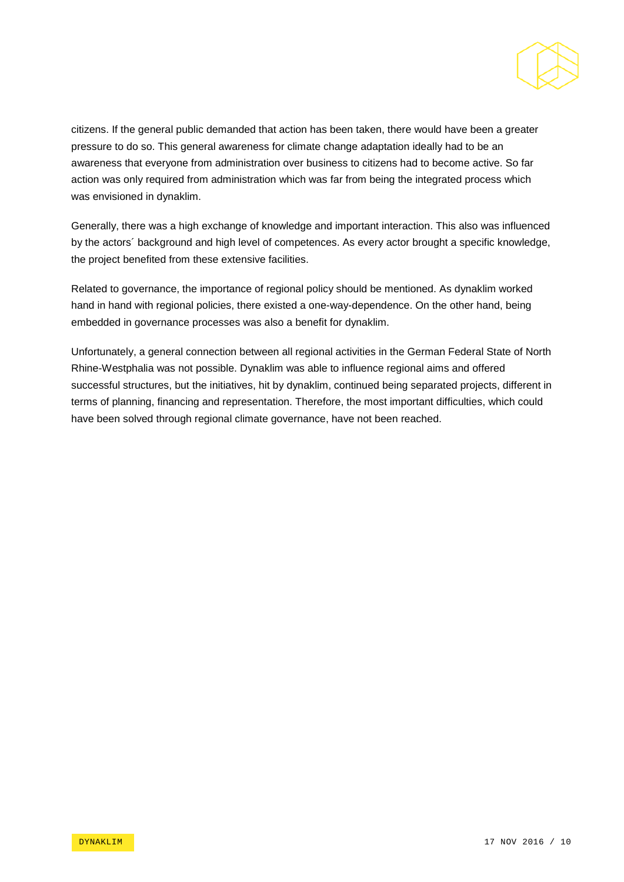

citizens. If the general public demanded that action has been taken, there would have been a greater pressure to do so. This general awareness for climate change adaptation ideally had to be an awareness that everyone from administration over business to citizens had to become active. So far action was only required from administration which was far from being the integrated process which was envisioned in dynaklim.

Generally, there was a high exchange of knowledge and important interaction. This also was influenced by the actors´ background and high level of competences. As every actor brought a specific knowledge, the project benefited from these extensive facilities.

Related to governance, the importance of regional policy should be mentioned. As dynaklim worked hand in hand with regional policies, there existed a one-way-dependence. On the other hand, being embedded in governance processes was also a benefit for dynaklim.

Unfortunately, a general connection between all regional activities in the German Federal State of North Rhine-Westphalia was not possible. Dynaklim was able to influence regional aims and offered successful structures, but the initiatives, hit by dynaklim, continued being separated projects, different in terms of planning, financing and representation. Therefore, the most important difficulties, which could have been solved through regional climate governance, have not been reached.